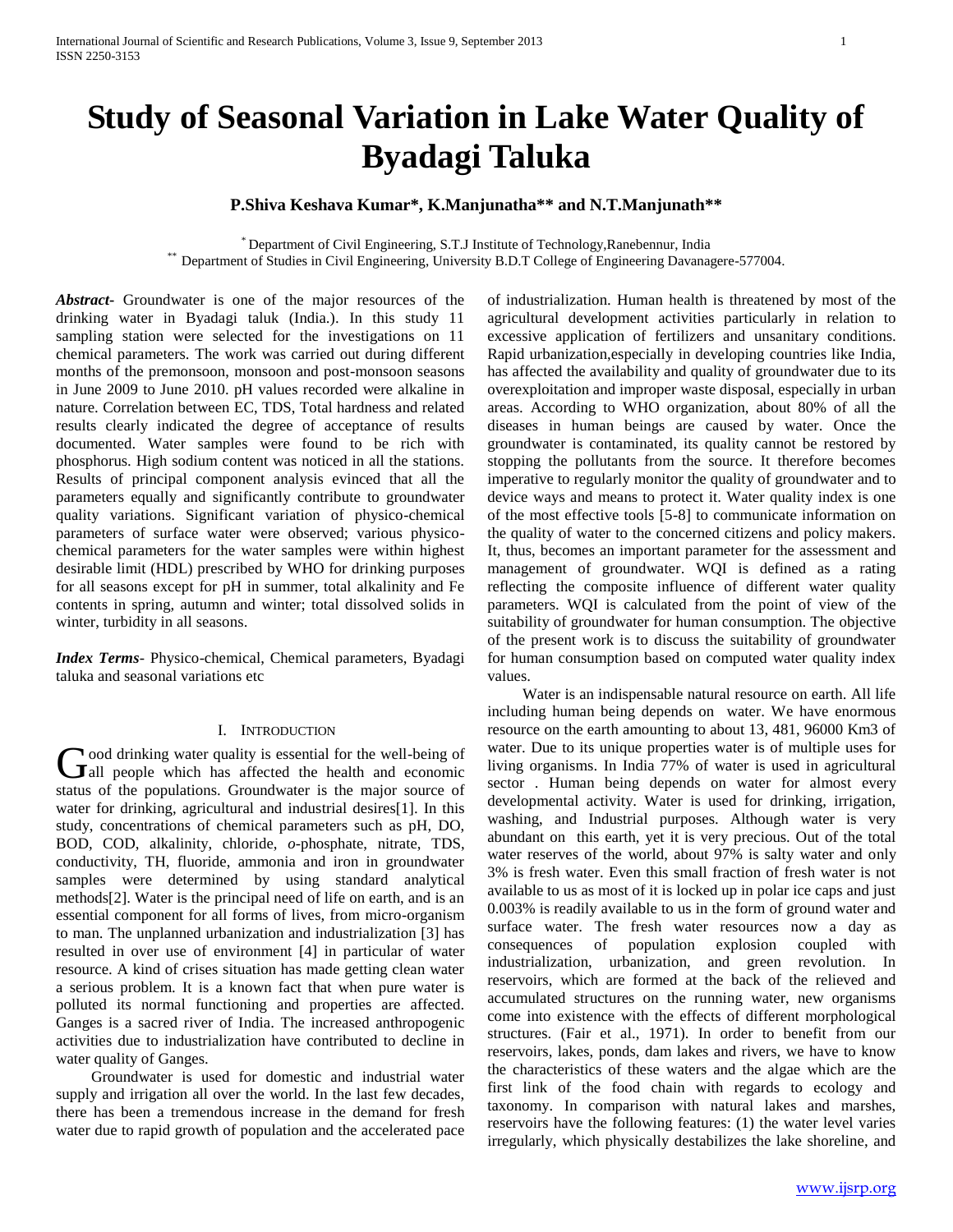# **Study of Seasonal Variation in Lake Water Quality of Byadagi Taluka**

## **P.Shiva Keshava Kumar\*, K.Manjunatha\*\* and N.T.Manjunath\*\***

\* Department of Civil Engineering, S.T.J Institute of Technology,Ranebennur, India \*\* Department of Studies in Civil Engineering, University B.D.T College of Engineering Davanagere-577004.

*Abstract***-** Groundwater is one of the major resources of the drinking water in Byadagi taluk (India.). In this study 11 sampling station were selected for the investigations on 11 chemical parameters. The work was carried out during different months of the premonsoon, monsoon and post-monsoon seasons in June 2009 to June 2010. pH values recorded were alkaline in nature. Correlation between EC, TDS, Total hardness and related results clearly indicated the degree of acceptance of results documented. Water samples were found to be rich with phosphorus. High sodium content was noticed in all the stations. Results of principal component analysis evinced that all the parameters equally and significantly contribute to groundwater quality variations. Significant variation of physico-chemical parameters of surface water were observed; various physicochemical parameters for the water samples were within highest desirable limit (HDL) prescribed by WHO for drinking purposes for all seasons except for pH in summer, total alkalinity and Fe contents in spring, autumn and winter; total dissolved solids in winter, turbidity in all seasons.

*Index Terms*- Physico-chemical, Chemical parameters, Byadagi taluka and seasonal variations etc

#### I. INTRODUCTION

ood drinking water quality is essential for the well-being of Good drinking water quality is essential for the well-being of all people which has affected the health and economic status of the populations. Groundwater is the major source of water for drinking, agricultural and industrial desires[1]. In this study, concentrations of chemical parameters such as pH, DO, BOD, COD, alkalinity, chloride, *o*-phosphate, nitrate, TDS, conductivity, TH, fluoride, ammonia and iron in groundwater samples were determined by using standard analytical methods[2]. Water is the principal need of life on earth, and is an essential component for all forms of lives, from micro-organism to man. The unplanned urbanization and industrialization [3] has resulted in over use of environment [4] in particular of water resource. A kind of crises situation has made getting clean water a serious problem. It is a known fact that when pure water is polluted its normal functioning and properties are affected. Ganges is a sacred river of India. The increased anthropogenic activities due to industrialization have contributed to decline in water quality of Ganges.

 Groundwater is used for domestic and industrial water supply and irrigation all over the world. In the last few decades, there has been a tremendous increase in the demand for fresh water due to rapid growth of population and the accelerated pace

of industrialization. Human health is threatened by most of the agricultural development activities particularly in relation to excessive application of fertilizers and unsanitary conditions. Rapid urbanization,especially in developing countries like India, has affected the availability and quality of groundwater due to its overexploitation and improper waste disposal, especially in urban areas. According to WHO organization, about 80% of all the diseases in human beings are caused by water. Once the groundwater is contaminated, its quality cannot be restored by stopping the pollutants from the source. It therefore becomes imperative to regularly monitor the quality of groundwater and to device ways and means to protect it. Water quality index is one of the most effective tools [5-8] to communicate information on the quality of water to the concerned citizens and policy makers. It, thus, becomes an important parameter for the assessment and management of groundwater. WQI is defined as a rating reflecting the composite influence of different water quality parameters. WQI is calculated from the point of view of the suitability of groundwater for human consumption. The objective of the present work is to discuss the suitability of groundwater for human consumption based on computed water quality index values.

 Water is an indispensable natural resource on earth. All life including human being depends on water. We have enormous resource on the earth amounting to about 13, 481, 96000 Km3 of water. Due to its unique properties water is of multiple uses for living organisms. In India 77% of water is used in agricultural sector . Human being depends on water for almost every developmental activity. Water is used for drinking, irrigation, washing, and Industrial purposes. Although water is very abundant on this earth, yet it is very precious. Out of the total water reserves of the world, about 97% is salty water and only 3% is fresh water. Even this small fraction of fresh water is not available to us as most of it is locked up in polar ice caps and just 0.003% is readily available to us in the form of ground water and surface water. The fresh water resources now a day as consequences of population explosion coupled with industrialization, urbanization, and green revolution. In reservoirs, which are formed at the back of the relieved and accumulated structures on the running water, new organisms come into existence with the effects of different morphological structures. (Fair et al., 1971). In order to benefit from our reservoirs, lakes, ponds, dam lakes and rivers, we have to know the characteristics of these waters and the algae which are the first link of the food chain with regards to ecology and taxonomy. In comparison with natural lakes and marshes, reservoirs have the following features: (1) the water level varies irregularly, which physically destabilizes the lake shoreline, and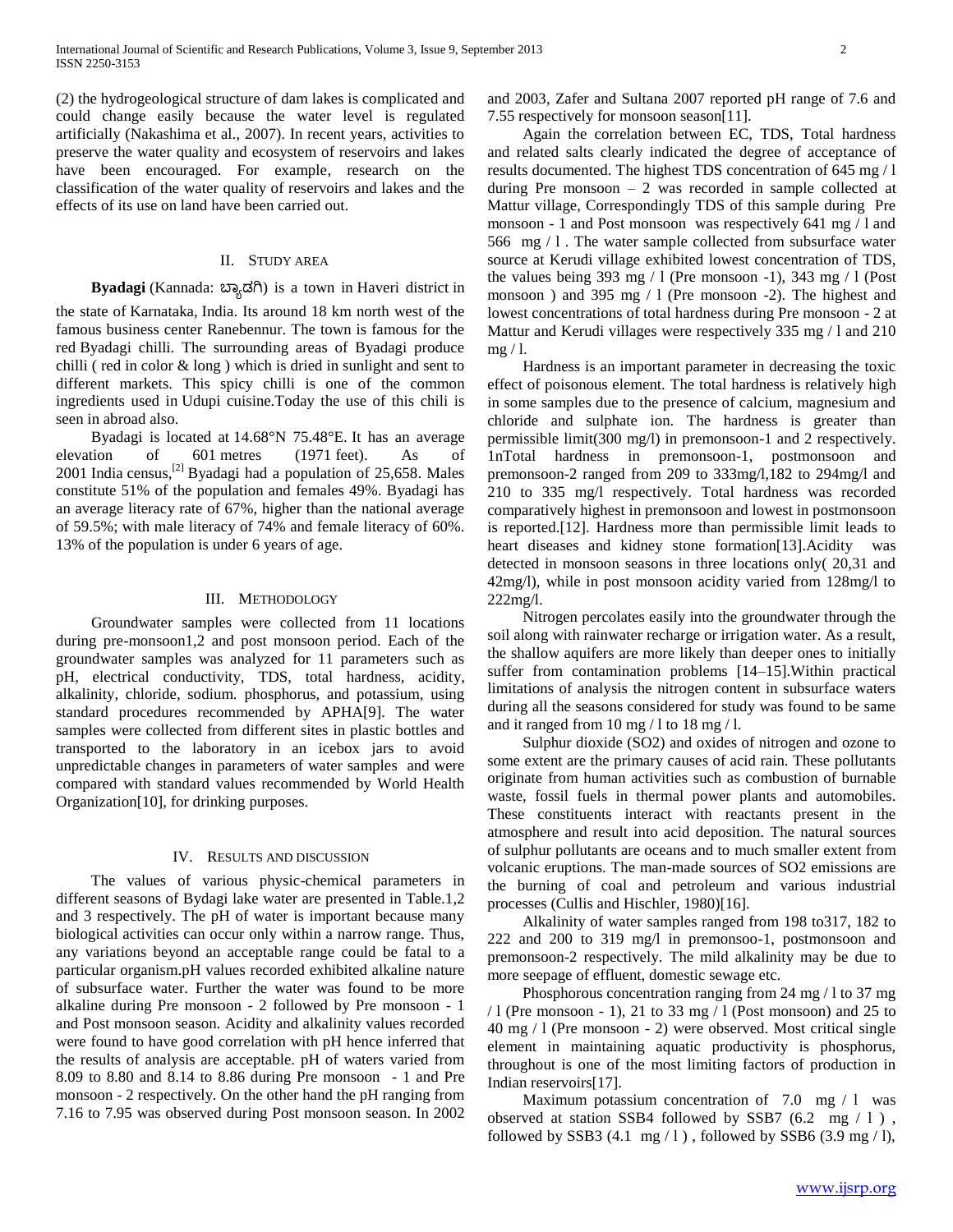(2) the hydrogeological structure of dam lakes is complicated and could change easily because the water level is regulated artificially (Nakashima et al., 2007). In recent years, activities to preserve the water quality and ecosystem of reservoirs and lakes have been encouraged. For example, research on the classification of the water quality of reservoirs and lakes and the effects of its use on land have been carried out.

### II. STUDY AREA

#### **Byadagi** (Kannada: ಬ್ಯಾಡಗಿ) is a town in Haveri district in

the state of Karnataka, India. Its around 18 km north west of the famous business center Ranebennur. The town is famous for the red Byadagi chilli. The surrounding areas of Byadagi produce chilli ( red in color & long ) which is dried in sunlight and sent to different markets. This spicy chilli is one of the common ingredients used in Udupi cuisine.Today the use of this chili is seen in abroad also.

 Byadagi is located at 14.68°N 75.48°E. It has an average elevation of 601 metres (1971 feet). As of 2001 India census,<sup>[2]</sup> Byadagi had a population of 25,658. Males constitute 51% of the population and females 49%. Byadagi has an average literacy rate of 67%, higher than the national average of 59.5%; with male literacy of 74% and female literacy of 60%. 13% of the population is under 6 years of age.

#### III. METHODOLOGY

 Groundwater samples were collected from 11 locations during pre-monsoon1,2 and post monsoon period. Each of the groundwater samples was analyzed for 11 parameters such as pH, electrical conductivity, TDS, total hardness, acidity, alkalinity, chloride, sodium. phosphorus, and potassium, using standard procedures recommended by APHA[9]. The water samples were collected from different sites in plastic bottles and transported to the laboratory in an icebox jars to avoid unpredictable changes in parameters of water samples and were compared with standard values recommended by World Health Organization[10], for drinking purposes.

#### IV. RESULTS AND DISCUSSION

 The values of various physic-chemical parameters in different seasons of Bydagi lake water are presented in Table.1,2 and 3 respectively. The pH of water is important because many biological activities can occur only within a narrow range. Thus, any variations beyond an acceptable range could be fatal to a particular organism.pH values recorded exhibited alkaline nature of subsurface water. Further the water was found to be more alkaline during Pre monsoon - 2 followed by Pre monsoon - 1 and Post monsoon season. Acidity and alkalinity values recorded were found to have good correlation with pH hence inferred that the results of analysis are acceptable. pH of waters varied from 8.09 to 8.80 and 8.14 to 8.86 during Pre monsoon - 1 and Pre monsoon - 2 respectively. On the other hand the pH ranging from 7.16 to 7.95 was observed during Post monsoon season. In 2002

and 2003, Zafer and Sultana 2007 reported pH range of 7.6 and 7.55 respectively for monsoon season[11].

 Again the correlation between EC, TDS, Total hardness and related salts clearly indicated the degree of acceptance of results documented. The highest TDS concentration of 645 mg / l during Pre monsoon – 2 was recorded in sample collected at Mattur village, Correspondingly TDS of this sample during Pre monsoon - 1 and Post monsoon was respectively 641 mg / l and 566 mg / l . The water sample collected from subsurface water source at Kerudi village exhibited lowest concentration of TDS, the values being 393 mg  $/ 1$  (Pre monsoon -1), 343 mg  $/ 1$  (Post monsoon ) and 395 mg / l (Pre monsoon -2). The highest and lowest concentrations of total hardness during Pre monsoon - 2 at Mattur and Kerudi villages were respectively 335 mg / l and 210  $mg/1$ .

 Hardness is an important parameter in decreasing the toxic effect of poisonous element. The total hardness is relatively high in some samples due to the presence of calcium, magnesium and chloride and sulphate ion. The hardness is greater than permissible limit(300 mg/l) in premonsoon-1 and 2 respectively. 1nTotal hardness in premonsoon-1, postmonsoon and premonsoon-2 ranged from 209 to 333mg/l,182 to 294mg/l and 210 to 335 mg/l respectively. Total hardness was recorded comparatively highest in premonsoon and lowest in postmonsoon is reported.[12]. Hardness more than permissible limit leads to heart diseases and kidney stone formation[13].Acidity was detected in monsoon seasons in three locations only( 20,31 and 42mg/l), while in post monsoon acidity varied from 128mg/l to 222mg/l.

 Nitrogen percolates easily into the groundwater through the soil along with rainwater recharge or irrigation water. As a result, the shallow aquifers are more likely than deeper ones to initially suffer from contamination problems [14–15].Within practical limitations of analysis the nitrogen content in subsurface waters during all the seasons considered for study was found to be same and it ranged from 10 mg / l to 18 mg / l.

 Sulphur dioxide (SO2) and oxides of nitrogen and ozone to some extent are the primary causes of acid rain. These pollutants originate from human activities such as combustion of burnable waste, fossil fuels in thermal power plants and automobiles. These constituents interact with reactants present in the atmosphere and result into acid deposition. The natural sources of sulphur pollutants are oceans and to much smaller extent from volcanic eruptions. The man-made sources of SO2 emissions are the burning of coal and petroleum and various industrial processes (Cullis and Hischler, 1980)[16].

 Alkalinity of water samples ranged from 198 to317, 182 to 222 and 200 to 319 mg/l in premonsoo-1, postmonsoon and premonsoon-2 respectively. The mild alkalinity may be due to more seepage of effluent, domestic sewage etc.

 Phosphorous concentration ranging from 24 mg / l to 37 mg  $/ 1$  (Pre monsoon - 1), 21 to 33 mg  $/ 1$  (Post monsoon) and 25 to 40 mg / l (Pre monsoon - 2) were observed. Most critical single element in maintaining aquatic productivity is phosphorus, throughout is one of the most limiting factors of production in Indian reservoirs[17].

Maximum potassium concentration of 7.0 mg / 1 was observed at station SSB4 followed by SSB7  $(6.2 \text{ mg} / 1)$ , followed by SSB3 (4.1 mg  $/1$ ), followed by SSB6 (3.9 mg  $/1$ ),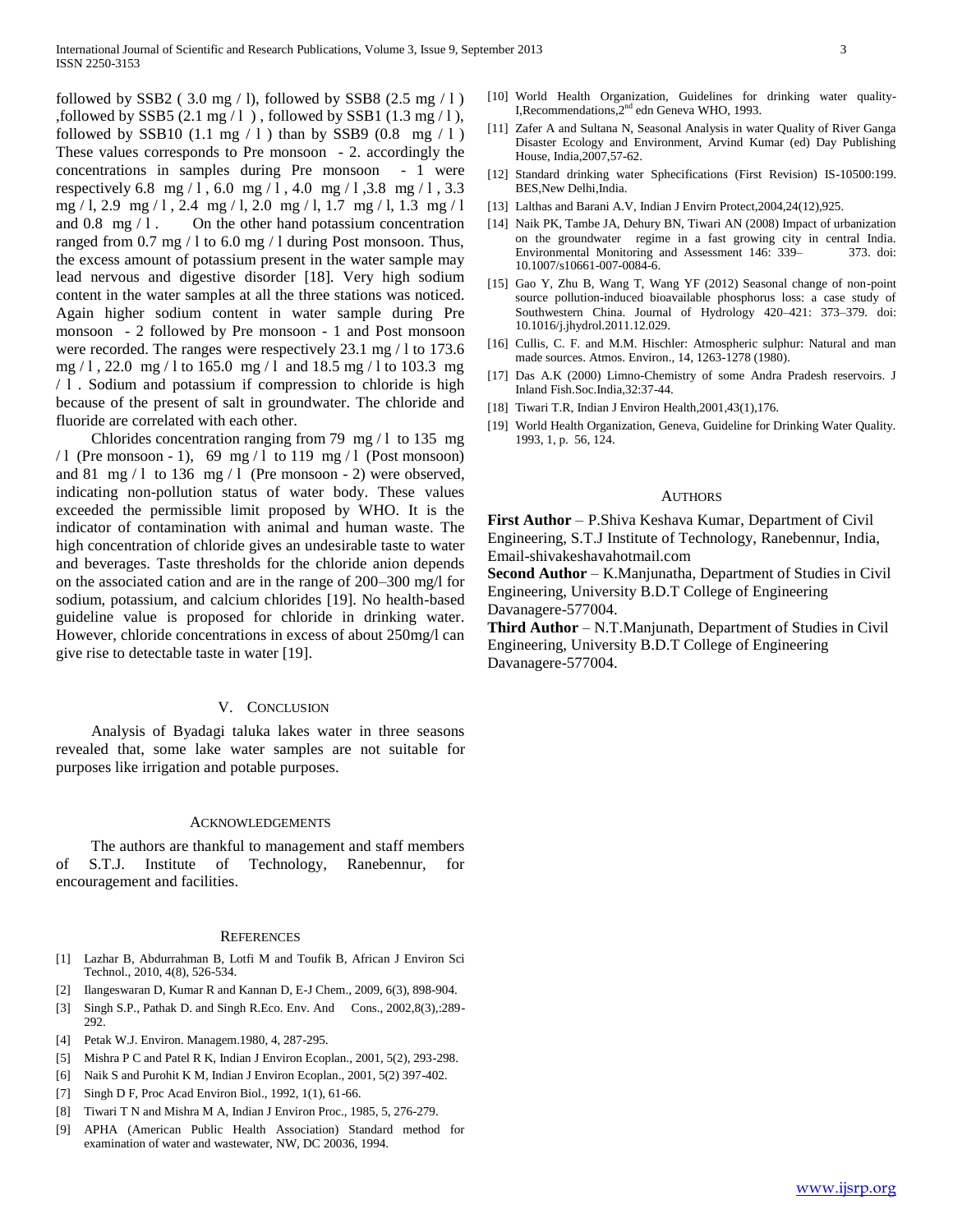followed by SSB2 (3.0 mg / 1), followed by SSB8 (2.5 mg / 1) ,followed by SSB5  $(2.1 \text{ mg}/1)$ , followed by SSB1  $(1.3 \text{ mg}/1)$ , followed by SSB10 (1.1 mg  $/ 1$ ) than by SSB9 (0.8 mg  $/ 1$ ) These values corresponds to Pre monsoon - 2. accordingly the concentrations in samples during Pre monsoon - 1 were respectively 6.8 mg / 1, 6.0 mg / 1, 4.0 mg / 1, 3.8 mg / 1, 3.3 mg / l, 2.9 mg / l , 2.4 mg / l, 2.0 mg / l, 1.7 mg / l, 1.3 mg / l and  $0.8 \, \text{mg} / 1$ . On the other hand potassium concentration ranged from 0.7 mg / l to 6.0 mg / l during Post monsoon. Thus, the excess amount of potassium present in the water sample may lead nervous and digestive disorder [18]. Very high sodium content in the water samples at all the three stations was noticed. Again higher sodium content in water sample during Pre monsoon - 2 followed by Pre monsoon - 1 and Post monsoon were recorded. The ranges were respectively 23.1 mg / 1 to 173.6 mg / l , 22.0 mg / l to 165.0 mg / l and 18.5 mg / l to 103.3 mg / l . Sodium and potassium if compression to chloride is high because of the present of salt in groundwater. The chloride and fluoride are correlated with each other.

 Chlorides concentration ranging from 79 mg / l to 135 mg /1 (Pre monsoon - 1), 69 mg / l to 119 mg / l (Post monsoon) and 81 mg  $/1$  to 136 mg  $/1$  (Pre monsoon - 2) were observed, indicating non-pollution status of water body. These values exceeded the permissible limit proposed by WHO. It is the indicator of contamination with animal and human waste. The high concentration of chloride gives an undesirable taste to water and beverages. Taste thresholds for the chloride anion depends on the associated cation and are in the range of 200–300 mg/l for sodium, potassium, and calcium chlorides [19]. No health-based guideline value is proposed for chloride in drinking water. However, chloride concentrations in excess of about 250mg/l can give rise to detectable taste in water [19].

#### V. CONCLUSION

 Analysis of Byadagi taluka lakes water in three seasons revealed that, some lake water samples are not suitable for purposes like irrigation and potable purposes.

#### ACKNOWLEDGEMENTS

 The authors are thankful to management and staff members of S.T.J. Institute of Technology, Ranebennur, for encouragement and facilities.

#### **REFERENCES**

- [1] Lazhar B, Abdurrahman B, Lotfi M and Toufik B, African J Environ Sci Technol., 2010, 4(8), 526-534.
- [2] Ilangeswaran D, Kumar R and Kannan D, E-J Chem., 2009, 6(3), 898-904.
- [3] Singh S.P., Pathak D. and Singh R.Eco. Env. And Cons., 2002,8(3),:289- 292.
- [4] Petak W.J. Environ. Managem.1980, 4, 287-295.
- [5] Mishra P C and Patel R K, Indian J Environ Ecoplan., 2001, 5(2), 293-298.
- [6] Naik S and Purohit K M, Indian J Environ Ecoplan., 2001, 5(2) 397-402.
- [7] Singh D F, Proc Acad Environ Biol., 1992, 1(1), 61-66.
- [8] Tiwari T N and Mishra M A, Indian J Environ Proc., 1985, 5, 276-279.
- [9] APHA (American Public Health Association) Standard method for examination of water and wastewater, NW, DC 20036, 1994.
- [10] World Health Organization, Guidelines for drinking water quality-I,Recommendations,2nd edn Geneva WHO, 1993.
- [11] Zafer A and Sultana N, Seasonal Analysis in water Quality of River Ganga Disaster Ecology and Environment, Arvind Kumar (ed) Day Publishing House, India,2007,57-62.
- [12] Standard drinking water Sphecifications (First Revision) IS-10500:199. BES,New Delhi,India.
- [13] Lalthas and Barani A.V, Indian J Envirn Protect,2004,24(12),925.
- [14] Naik PK, Tambe JA, Dehury BN, Tiwari AN (2008) Impact of urbanization on the groundwater regime in a fast growing city in central India. Environmental Monitoring and Assessment 146: 339– 373. doi: 10.1007/s10661-007-0084-6.
- [15] Gao Y, Zhu B, Wang T, Wang YF (2012) Seasonal change of non-point source pollution-induced bioavailable phosphorus loss: a case study of Southwestern China. Journal of Hydrology 420–421: 373–379. doi: 10.1016/j.jhydrol.2011.12.029.
- [16] Cullis, C. F. and M.M. Hischler: Atmospheric sulphur: Natural and man made sources. Atmos. Environ., 14, 1263-1278 (1980).
- [17] Das A.K (2000) Limno-Chemistry of some Andra Pradesh reservoirs. J Inland Fish.Soc.India,32:37-44.
- [18] Tiwari T.R, Indian J Environ Health,2001,43(1),176.
- [19] World Health Organization, Geneva, Guideline for Drinking Water Quality. 1993, 1, p. 56, 124.

#### AUTHORS

**First Author** – P.Shiva Keshava Kumar, Department of Civil Engineering, S.T.J Institute of Technology, Ranebennur, India, Email-shivakeshavahotmail.com

**Second Author** – K.Manjunatha, Department of Studies in Civil Engineering, University B.D.T College of Engineering Davanagere-577004.

**Third Author** – N.T.Manjunath, Department of Studies in Civil Engineering, University B.D.T College of Engineering Davanagere-577004.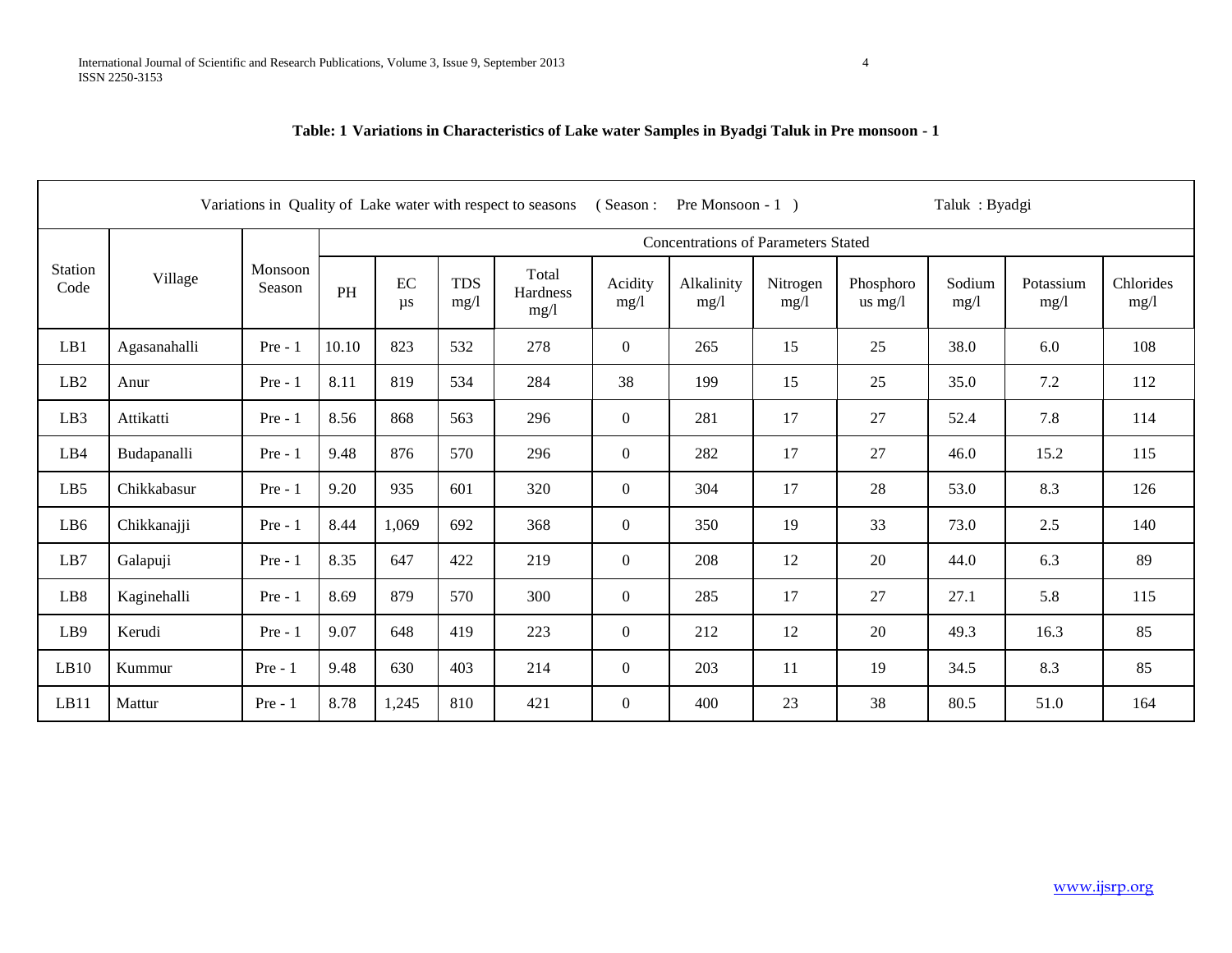**Table: 1 Variations in Characteristics of Lake water Samples in Byadgi Taluk in Pre monsoon - 1** 

| (Season:<br>Taluk: Byadgi<br>Variations in Quality of Lake water with respect to seasons<br>Pre Monsoon $-1$ ) |              |                   |       |                                            |                    |                           |                 |                    |                  |                        |                |                   |                   |  |
|----------------------------------------------------------------------------------------------------------------|--------------|-------------------|-------|--------------------------------------------|--------------------|---------------------------|-----------------|--------------------|------------------|------------------------|----------------|-------------------|-------------------|--|
|                                                                                                                |              |                   |       | <b>Concentrations of Parameters Stated</b> |                    |                           |                 |                    |                  |                        |                |                   |                   |  |
| Station<br>Code                                                                                                | Village      | Monsoon<br>Season | PH    | EC<br>$\mu s$                              | <b>TDS</b><br>mg/1 | Total<br>Hardness<br>mg/1 | Acidity<br>mg/1 | Alkalinity<br>mg/1 | Nitrogen<br>mg/1 | Phosphoro<br>us $mg/l$ | Sodium<br>mg/1 | Potassium<br>mg/1 | Chlorides<br>mg/1 |  |
| LB1                                                                                                            | Agasanahalli | $Pre - 1$         | 10.10 | 823                                        | 532                | 278                       | $\overline{0}$  | 265                | 15               | 25                     | 38.0           | 6.0               | 108               |  |
| LB2                                                                                                            | Anur         | $Pre - 1$         | 8.11  | 819                                        | 534                | 284                       | 38              | 199                | 15               | 25                     | 35.0           | 7.2               | 112               |  |
| LB <sub>3</sub>                                                                                                | Attikatti    | $Pre - 1$         | 8.56  | 868                                        | 563                | 296                       | $\overline{0}$  | 281                | 17               | 27                     | 52.4           | 7.8               | 114               |  |
| LB4                                                                                                            | Budapanalli  | $Pre - 1$         | 9.48  | 876                                        | 570                | 296                       | $\overline{0}$  | 282                | 17               | 27                     | 46.0           | 15.2              | 115               |  |
| LB <sub>5</sub>                                                                                                | Chikkabasur  | $Pre - 1$         | 9.20  | 935                                        | 601                | 320                       | $\overline{0}$  | 304                | 17               | 28                     | 53.0           | 8.3               | 126               |  |
| LB6                                                                                                            | Chikkanajji  | $Pre - 1$         | 8.44  | 1,069                                      | 692                | 368                       | $\overline{0}$  | 350                | 19               | 33                     | 73.0           | 2.5               | 140               |  |
| LB7                                                                                                            | Galapuji     | $Pre - 1$         | 8.35  | 647                                        | 422                | 219                       | $\overline{0}$  | 208                | 12               | 20                     | 44.0           | 6.3               | 89                |  |
| LB <sub>8</sub>                                                                                                | Kaginehalli  | $Pre - 1$         | 8.69  | 879                                        | 570                | 300                       | $\overline{0}$  | 285                | 17               | 27                     | 27.1           | 5.8               | 115               |  |
| LB9                                                                                                            | Kerudi       | $Pre - 1$         | 9.07  | 648                                        | 419                | 223                       | $\overline{0}$  | 212                | 12               | 20                     | 49.3           | 16.3              | 85                |  |
| LB10                                                                                                           | Kummur       | $Pre - 1$         | 9.48  | 630                                        | 403                | 214                       | $\overline{0}$  | 203                | 11               | 19                     | 34.5           | 8.3               | 85                |  |
| LB11                                                                                                           | Mattur       | $Pre - 1$         | 8.78  | 1,245                                      | 810                | 421                       | $\overline{0}$  | 400                | 23               | 38                     | 80.5           | 51.0              | 164               |  |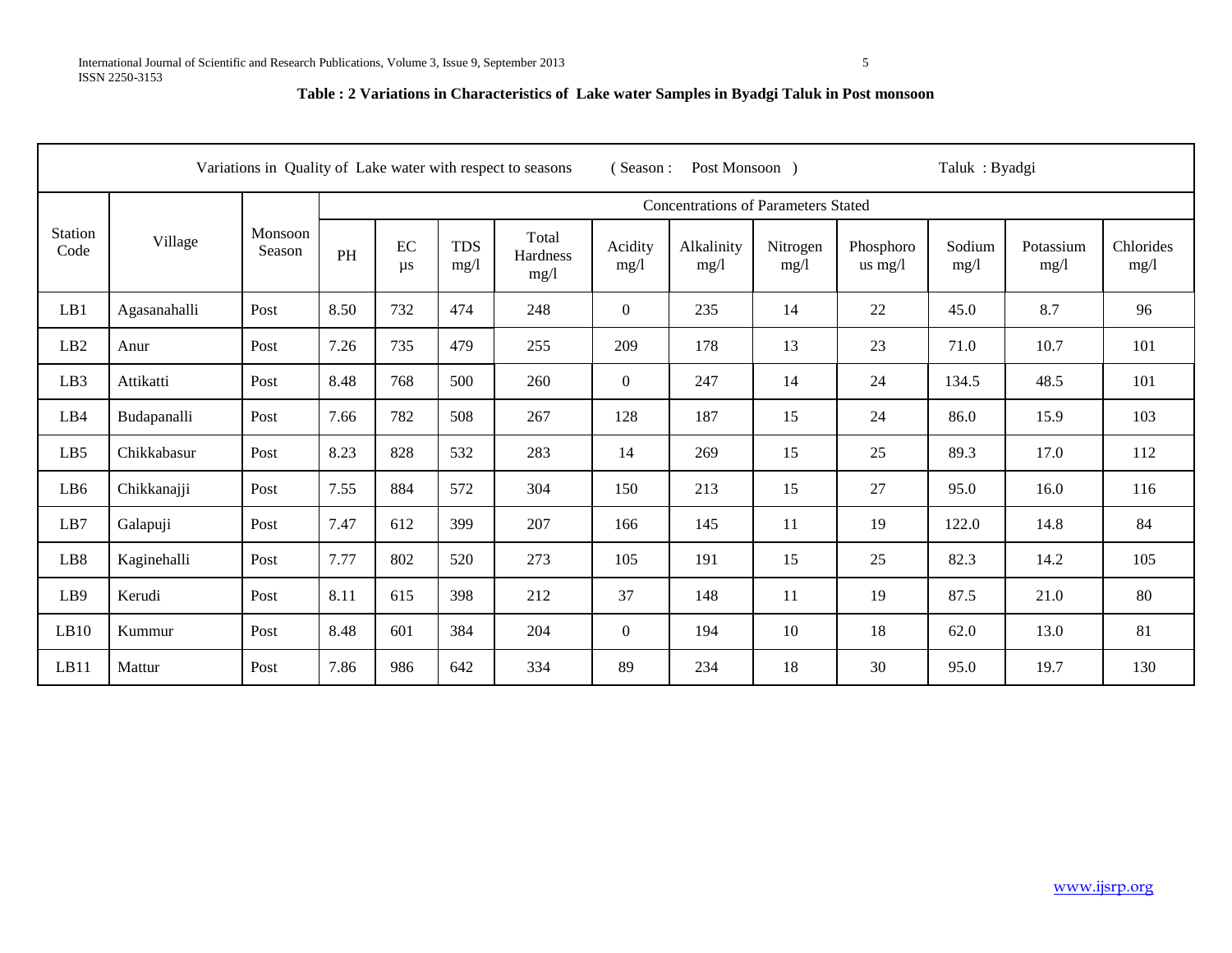## **Table : 2 Variations in Characteristics of Lake water Samples in Byadgi Taluk in Post monsoon**

|                        |              |                   |      | Taluk: Byadgi<br>Variations in Quality of Lake water with respect to seasons<br>(Season:<br>Post Monsoon ) |                    |                                  |                 |                    |                  |                        |                |                   |                   |
|------------------------|--------------|-------------------|------|------------------------------------------------------------------------------------------------------------|--------------------|----------------------------------|-----------------|--------------------|------------------|------------------------|----------------|-------------------|-------------------|
|                        |              |                   |      | <b>Concentrations of Parameters Stated</b>                                                                 |                    |                                  |                 |                    |                  |                        |                |                   |                   |
| <b>Station</b><br>Code | Village      | Monsoon<br>Season | PH   | EC<br>$\mu s$                                                                                              | <b>TDS</b><br>mg/1 | Total<br><b>Hardness</b><br>mg/1 | Acidity<br>mg/1 | Alkalinity<br>mg/1 | Nitrogen<br>mg/1 | Phosphoro<br>us $mg/l$ | Sodium<br>mg/1 | Potassium<br>mg/1 | Chlorides<br>mg/l |
| LB1                    | Agasanahalli | Post              | 8.50 | 732                                                                                                        | 474                | 248                              | $\overline{0}$  | 235                | 14               | 22                     | 45.0           | 8.7               | 96                |
| LB2                    | Anur         | Post              | 7.26 | 735                                                                                                        | 479                | 255                              | 209             | 178                | 13               | 23                     | 71.0           | 10.7              | 101               |
| LB <sub>3</sub>        | Attikatti    | Post              | 8.48 | 768                                                                                                        | 500                | 260                              | $\theta$        | 247                | 14               | 24                     | 134.5          | 48.5              | 101               |
| LB4                    | Budapanalli  | Post              | 7.66 | 782                                                                                                        | 508                | 267                              | 128             | 187                | 15               | 24                     | 86.0           | 15.9              | 103               |
| LB5                    | Chikkabasur  | Post              | 8.23 | 828                                                                                                        | 532                | 283                              | 14              | 269                | 15               | 25                     | 89.3           | 17.0              | 112               |
| LB6                    | Chikkanajji  | Post              | 7.55 | 884                                                                                                        | 572                | 304                              | 150             | 213                | 15               | 27                     | 95.0           | 16.0              | 116               |
| LB7                    | Galapuji     | Post              | 7.47 | 612                                                                                                        | 399                | 207                              | 166             | 145                | 11               | 19                     | 122.0          | 14.8              | 84                |
| LB8                    | Kaginehalli  | Post              | 7.77 | 802                                                                                                        | 520                | 273                              | 105             | 191                | 15               | 25                     | 82.3           | 14.2              | 105               |
| LB9                    | Kerudi       | Post              | 8.11 | 615                                                                                                        | 398                | 212                              | 37              | 148                | 11               | 19                     | 87.5           | 21.0              | 80                |
| LB10                   | Kummur       | Post              | 8.48 | 601                                                                                                        | 384                | 204                              | $\overline{0}$  | 194                | 10               | 18                     | 62.0           | 13.0              | 81                |
| LB11                   | Mattur       | Post              | 7.86 | 986                                                                                                        | 642                | 334                              | 89              | 234                | 18               | 30                     | 95.0           | 19.7              | 130               |